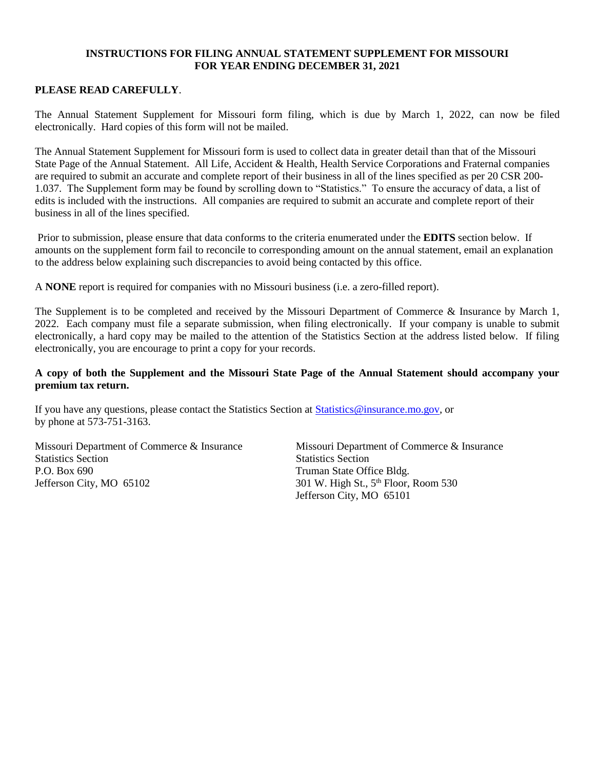## **INSTRUCTIONS FOR FILING ANNUAL STATEMENT SUPPLEMENT FOR MISSOURI FOR YEAR ENDING DECEMBER 31, 2021**

## **PLEASE READ CAREFULLY**.

The Annual Statement Supplement for Missouri form filing, which is due by March 1, 2022, can now be filed electronically. Hard copies of this form will not be mailed.

The Annual Statement Supplement for Missouri form is used to collect data in greater detail than that of the Missouri State Page of the Annual Statement. All Life, Accident & Health, Health Service Corporations and Fraternal companies are required to submit an accurate and complete report of their business in all of the lines specified as per 20 CSR 200- 1.037. The Supplement form may be found by scrolling down to "Statistics." To ensure the accuracy of data, a list of edits is included with the instructions. All companies are required to submit an accurate and complete report of their business in all of the lines specified.

Prior to submission, please ensure that data conforms to the criteria enumerated under the **EDITS** section below. If amounts on the supplement form fail to reconcile to corresponding amount on the annual statement, email an explanation to the address below explaining such discrepancies to avoid being contacted by this office.

A **NONE** report is required for companies with no Missouri business (i.e. a zero-filled report).

The Supplement is to be completed and received by the Missouri Department of Commerce & Insurance by March 1, 2022. Each company must file a separate submission, when filing electronically. If your company is unable to submit electronically, a hard copy may be mailed to the attention of the Statistics Section at the address listed below. If filing electronically, you are encourage to print a copy for your records.

## **A copy of both the Supplement and the Missouri State Page of the Annual Statement should accompany your premium tax return.**

If you have any questions, please contact the Statistics Section at [Statistics@insurance.mo.gov,](mailto:Statistics@insurance.mo.gov) or by phone at 573-751-3163.

Missouri Department of Commerce & Insurance Missouri Department of Commerce & Insurance Statistics Section Statistics Section P.O. Box 690 Truman State Office Bldg. Jefferson City, MO  $65102$  301 W. High St.,  $5<sup>th</sup>$  Floor, Room 530

Jefferson City, MO 65101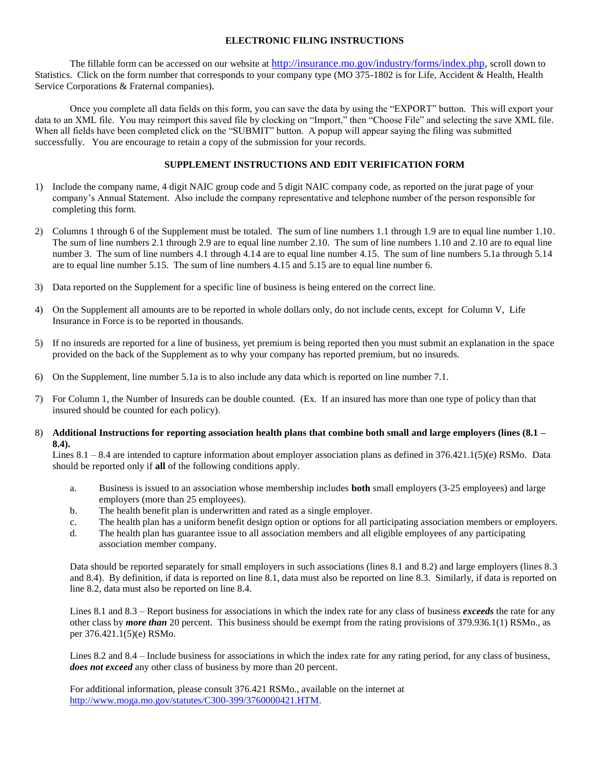### **ELECTRONIC FILING INSTRUCTIONS**

The fillable form can be accessed on our website at [http://insurance.mo.gov/industry/forms/index.php,](http://insurance.mo.gov/industry/forms/index.php) scroll down to Statistics. Click on the form number that corresponds to your company type (MO 375-1802 is for Life, Accident & Health, Health Service Corporations & Fraternal companies).

Once you complete all data fields on this form, you can save the data by using the "EXPORT" button. This will export your data to an XML file. You may reimport this saved file by clocking on "Import," then "Choose File" and selecting the save XML file. When all fields have been completed click on the "SUBMIT" button. A popup will appear saying the filing was submitted successfully. You are encourage to retain a copy of the submission for your records.

### **SUPPLEMENT INSTRUCTIONS AND EDIT VERIFICATION FORM**

- 1) Include the company name, 4 digit NAIC group code and 5 digit NAIC company code, as reported on the jurat page of your company's Annual Statement. Also include the company representative and telephone number of the person responsible for completing this form.
- 2) Columns 1 through 6 of the Supplement must be totaled. The sum of line numbers 1.1 through 1.9 are to equal line number 1.10. The sum of line numbers 2.1 through 2.9 are to equal line number 2.10. The sum of line numbers 1.10 and 2.10 are to equal line number 3. The sum of line numbers 4.1 through 4.14 are to equal line number 4.15. The sum of line numbers 5.1a through 5.14 are to equal line number 5.15. The sum of line numbers 4.15 and 5.15 are to equal line number 6.
- 3) Data reported on the Supplement for a specific line of business is being entered on the correct line.
- 4) On the Supplement all amounts are to be reported in whole dollars only, do not include cents, except for Column V, Life Insurance in Force is to be reported in thousands.
- 5) If no insureds are reported for a line of business, yet premium is being reported then you must submit an explanation in the space provided on the back of the Supplement as to why your company has reported premium, but no insureds.
- 6) On the Supplement, line number 5.1a is to also include any data which is reported on line number 7.1.
- 7) For Column 1, the Number of Insureds can be double counted. (Ex. If an insured has more than one type of policy than that insured should be counted for each policy).
- 8) **Additional Instructions for reporting association health plans that combine both small and large employers (lines (8.1 – 8.4).**

Lines  $8.1 - 8.4$  are intended to capture information about employer association plans as defined in  $376.421.1(5)(e)$  RSMo. Data should be reported only if **all** of the following conditions apply.

- a. Business is issued to an association whose membership includes **both** small employers (3-25 employees) and large employers (more than 25 employees).
- b. The health benefit plan is underwritten and rated as a single employer.
- c. The health plan has a uniform benefit design option or options for all participating association members or employers.
- d. The health plan has guarantee issue to all association members and all eligible employees of any participating association member company.

Data should be reported separately for small employers in such associations (lines 8.1 and 8.2) and large employers (lines 8.3 and 8.4). By definition, if data is reported on line 8.1, data must also be reported on line 8.3. Similarly, if data is reported on line 8.2, data must also be reported on line 8.4.

Lines 8.1 and 8.3 – Report business for associations in which the index rate for any class of business *exceeds* the rate for any other class by *more than* 20 percent. This business should be exempt from the rating provisions of 379.936.1(1) RSMo., as per 376.421.1(5)(e) RSMo.

Lines 8.2 and 8.4 – Include business for associations in which the index rate for any rating period, for any class of business, *does not exceed* any other class of business by more than 20 percent.

For additional information, please consult 376.421 RSMo., available on the internet at [http://www.moga.mo.gov/statutes/C300-399/3760000421.HTM.](http://www.moga.mo.gov/statutes/C300-399/3760000421.HTM)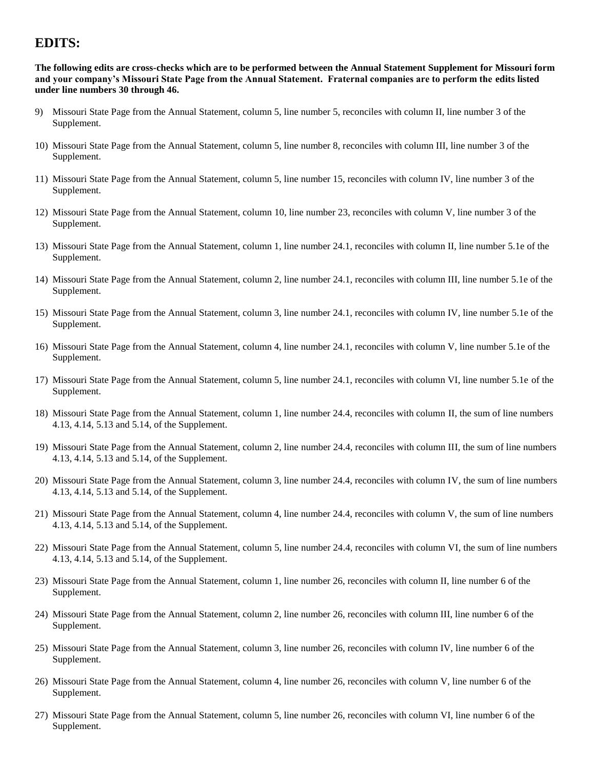# **EDITS:**

**The following edits are cross-checks which are to be performed between the Annual Statement Supplement for Missouri form and your company's Missouri State Page from the Annual Statement. Fraternal companies are to perform the edits listed under line numbers 30 through 46.**

- 9) Missouri State Page from the Annual Statement, column 5, line number 5, reconciles with column II, line number 3 of the Supplement.
- 10) Missouri State Page from the Annual Statement, column 5, line number 8, reconciles with column III, line number 3 of the Supplement.
- 11) Missouri State Page from the Annual Statement, column 5, line number 15, reconciles with column IV, line number 3 of the Supplement.
- 12) Missouri State Page from the Annual Statement, column 10, line number 23, reconciles with column V, line number 3 of the Supplement.
- 13) Missouri State Page from the Annual Statement, column 1, line number 24.1, reconciles with column II, line number 5.1e of the Supplement.
- 14) Missouri State Page from the Annual Statement, column 2, line number 24.1, reconciles with column III, line number 5.1e of the Supplement.
- 15) Missouri State Page from the Annual Statement, column 3, line number 24.1, reconciles with column IV, line number 5.1e of the Supplement.
- 16) Missouri State Page from the Annual Statement, column 4, line number 24.1, reconciles with column V, line number 5.1e of the Supplement.
- 17) Missouri State Page from the Annual Statement, column 5, line number 24.1, reconciles with column VI, line number 5.1e of the Supplement.
- 18) Missouri State Page from the Annual Statement, column 1, line number 24.4, reconciles with column II, the sum of line numbers 4.13, 4.14, 5.13 and 5.14, of the Supplement.
- 19) Missouri State Page from the Annual Statement, column 2, line number 24.4, reconciles with column III, the sum of line numbers 4.13, 4.14, 5.13 and 5.14, of the Supplement.
- 20) Missouri State Page from the Annual Statement, column 3, line number 24.4, reconciles with column IV, the sum of line numbers 4.13, 4.14, 5.13 and 5.14, of the Supplement.
- 21) Missouri State Page from the Annual Statement, column 4, line number 24.4, reconciles with column V, the sum of line numbers 4.13, 4.14, 5.13 and 5.14, of the Supplement.
- 22) Missouri State Page from the Annual Statement, column 5, line number 24.4, reconciles with column VI, the sum of line numbers 4.13, 4.14, 5.13 and 5.14, of the Supplement.
- 23) Missouri State Page from the Annual Statement, column 1, line number 26, reconciles with column II, line number 6 of the Supplement.
- 24) Missouri State Page from the Annual Statement, column 2, line number 26, reconciles with column III, line number 6 of the Supplement.
- 25) Missouri State Page from the Annual Statement, column 3, line number 26, reconciles with column IV, line number 6 of the Supplement.
- 26) Missouri State Page from the Annual Statement, column 4, line number 26, reconciles with column V, line number 6 of the Supplement.
- 27) Missouri State Page from the Annual Statement, column 5, line number 26, reconciles with column VI, line number 6 of the Supplement.